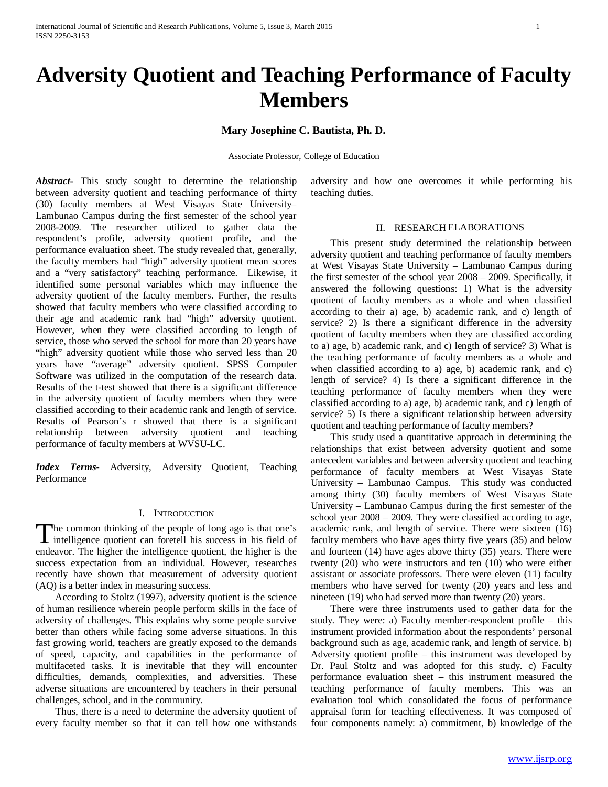# **Adversity Quotient and Teaching Performance of Faculty Members**

**Mary Josephine C. Bautista, Ph. D.**

Associate Professor, College of Education

*Abstract***-** This study sought to determine the relationship between adversity quotient and teaching performance of thirty (30) faculty members at West Visayas State University– Lambunao Campus during the first semester of the school year 2008-2009. The researcher utilized to gather data the respondent's profile, adversity quotient profile, and the performance evaluation sheet. The study revealed that, generally, the faculty members had "high" adversity quotient mean scores and a "very satisfactory" teaching performance. Likewise, it identified some personal variables which may influence the adversity quotient of the faculty members. Further, the results showed that faculty members who were classified according to their age and academic rank had "high" adversity quotient. However, when they were classified according to length of service, those who served the school for more than 20 years have "high" adversity quotient while those who served less than 20 years have "average" adversity quotient. SPSS Computer Software was utilized in the computation of the research data. Results of the t-test showed that there is a significant difference in the adversity quotient of faculty members when they were classified according to their academic rank and length of service. Results of Pearson's r showed that there is a significant relationship between adversity quotient and teaching performance of faculty members at WVSU-LC.

*Index Terms*- Adversity, Adversity Quotient, Teaching Performance

# I. INTRODUCTION

The common thinking of the people of long ago is that one's The common thinking of the people of long ago is that one's<br>intelligence quotient can foretell his success in his field of endeavor. The higher the intelligence quotient, the higher is the success expectation from an individual. However, researches recently have shown that measurement of adversity quotient (AQ) is a better index in measuring success.

 According to Stoltz (1997), adversity quotient is the science of human resilience wherein people perform skills in the face of adversity of challenges. This explains why some people survive better than others while facing some adverse situations. In this fast growing world, teachers are greatly exposed to the demands of speed, capacity, and capabilities in the performance of multifaceted tasks. It is inevitable that they will encounter difficulties, demands, complexities, and adversities. These adverse situations are encountered by teachers in their personal challenges, school, and in the community.

 Thus, there is a need to determine the adversity quotient of every faculty member so that it can tell how one withstands adversity and how one overcomes it while performing his teaching duties.

#### II. RESEARCH ELABORATIONS

 This present study determined the relationship between adversity quotient and teaching performance of faculty members at West Visayas State University – Lambunao Campus during the first semester of the school year 2008 – 2009. Specifically, it answered the following questions: 1) What is the adversity quotient of faculty members as a whole and when classified according to their a) age, b) academic rank, and c) length of service? 2) Is there a significant difference in the adversity quotient of faculty members when they are classified according to a) age, b) academic rank, and c) length of service? 3) What is the teaching performance of faculty members as a whole and when classified according to a) age, b) academic rank, and c) length of service? 4) Is there a significant difference in the teaching performance of faculty members when they were classified according to a) age, b) academic rank, and c) length of service? 5) Is there a significant relationship between adversity quotient and teaching performance of faculty members?

 This study used a quantitative approach in determining the relationships that exist between adversity quotient and some antecedent variables and between adversity quotient and teaching performance of faculty members at West Visayas State University – Lambunao Campus. This study was conducted among thirty (30) faculty members of West Visayas State University – Lambunao Campus during the first semester of the school year 2008 – 2009. They were classified according to age, academic rank, and length of service. There were sixteen (16) faculty members who have ages thirty five years (35) and below and fourteen (14) have ages above thirty (35) years. There were twenty (20) who were instructors and ten (10) who were either assistant or associate professors. There were eleven (11) faculty members who have served for twenty (20) years and less and nineteen (19) who had served more than twenty (20) years.

 There were three instruments used to gather data for the study. They were: a) Faculty member-respondent profile – this instrument provided information about the respondents' personal background such as age, academic rank, and length of service. b) Adversity quotient profile – this instrument was developed by Dr. Paul Stoltz and was adopted for this study. c) Faculty performance evaluation sheet – this instrument measured the teaching performance of faculty members. This was an evaluation tool which consolidated the focus of performance appraisal form for teaching effectiveness. It was composed of four components namely: a) commitment, b) knowledge of the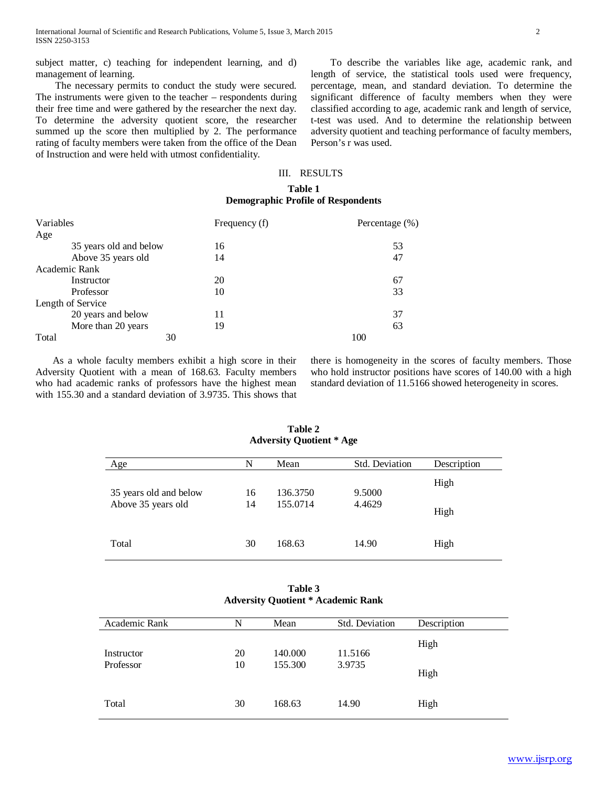subject matter, c) teaching for independent learning, and d) management of learning.

 The necessary permits to conduct the study were secured. The instruments were given to the teacher – respondents during their free time and were gathered by the researcher the next day. To determine the adversity quotient score, the researcher summed up the score then multiplied by 2. The performance rating of faculty members were taken from the office of the Dean of Instruction and were held with utmost confidentiality.

 To describe the variables like age, academic rank, and length of service, the statistical tools used were frequency, percentage, mean, and standard deviation. To determine the significant difference of faculty members when they were classified according to age, academic rank and length of service, t-test was used. And to determine the relationship between adversity quotient and teaching performance of faculty members, Person's r was used.

### III. RESULTS

# **Table 1 Demographic Profile of Respondents**

| Variables              | Frequency (f) | Percentage (%) |
|------------------------|---------------|----------------|
| Age                    |               |                |
| 35 years old and below | 16            | 53             |
| Above 35 years old     | 14            | 47             |
| Academic Rank          |               |                |
| Instructor             | 20            | 67             |
| Professor              | 10            | 33             |
| Length of Service      |               |                |
| 20 years and below     | 11            | 37             |
| More than 20 years     | 19            | 63             |
| Total                  | 30            | 100            |

 As a whole faculty members exhibit a high score in their Adversity Quotient with a mean of 168.63. Faculty members who had academic ranks of professors have the highest mean with 155.30 and a standard deviation of 3.9735. This shows that

there is homogeneity in the scores of faculty members. Those who hold instructor positions have scores of 140.00 with a high standard deviation of 11.5166 showed heterogeneity in scores.

| Age                                          | N        | Mean                 | <b>Std. Deviation</b> | Description  |
|----------------------------------------------|----------|----------------------|-----------------------|--------------|
| 35 years old and below<br>Above 35 years old | 16<br>14 | 136.3750<br>155.0714 | 9.5000<br>4.4629      | High<br>High |
| Total                                        | 30       | 168.63               | 14.90                 | High         |

**Table 2 Adversity Quotient \* Age**

| Table 3                                   |  |
|-------------------------------------------|--|
| <b>Adversity Quotient * Academic Rank</b> |  |

| Academic Rank | N  | Mean    | Std. Deviation | Description |
|---------------|----|---------|----------------|-------------|
| Instructor    | 20 | 140.000 | 11.5166        | High        |
| Professor     | 10 | 155.300 | 3.9735         | High        |
| Total         | 30 | 168.63  | 14.90          | High        |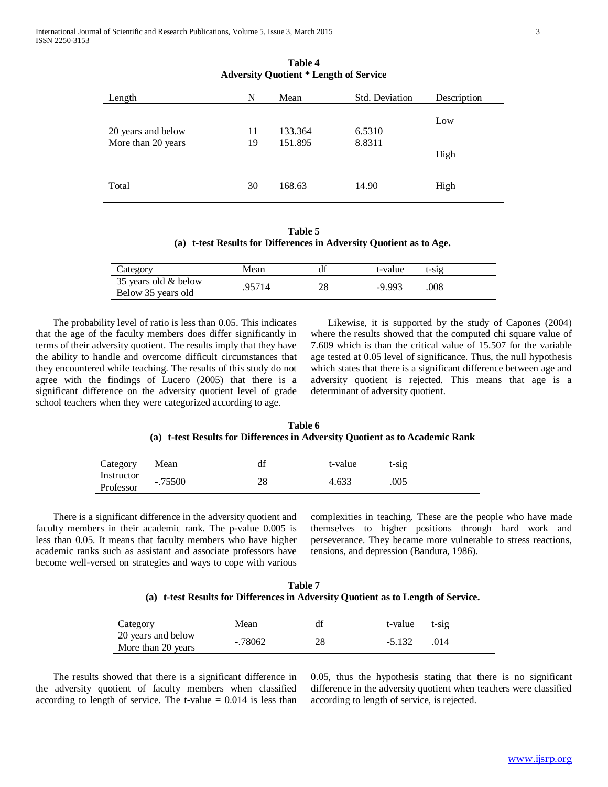| Length             | N  | Mean    | Std. Deviation | Description |
|--------------------|----|---------|----------------|-------------|
| 20 years and below | 11 | 133.364 | 6.5310         | Low         |
| More than 20 years | 19 | 151.895 | 8.8311         | High        |
| Total              | 30 | 168.63  | 14.90          | High        |

**Table 4 Adversity Quotient \* Length of Service**

**Table 5 (a) t-test Results for Differences in Adversity Quotient as to Age.**

| Category                                   | Mean   |    | t-value  | t-sig |  |
|--------------------------------------------|--------|----|----------|-------|--|
| 35 years old & below<br>Below 35 years old | .95714 | າຈ | $-9.993$ | .008  |  |

 The probability level of ratio is less than 0.05. This indicates that the age of the faculty members does differ significantly in terms of their adversity quotient. The results imply that they have the ability to handle and overcome difficult circumstances that they encountered while teaching. The results of this study do not agree with the findings of Lucero (2005) that there is a significant difference on the adversity quotient level of grade school teachers when they were categorized according to age.

 Likewise, it is supported by the study of Capones (2004) where the results showed that the computed chi square value of 7.609 which is than the critical value of 15.507 for the variable age tested at 0.05 level of significance. Thus, the null hypothesis which states that there is a significant difference between age and adversity quotient is rejected. This means that age is a determinant of adversity quotient.

**Table 6 (a) t-test Results for Differences in Adversity Quotient as to Academic Rank**

| Category   | Mean      | $\cdot$<br>uı | t-value | t-sıg |  |
|------------|-----------|---------------|---------|-------|--|
| Instructor | $-.75500$ | ኅር            | 4.633   | .005  |  |
| Professor  |           | 20            |         |       |  |

 There is a significant difference in the adversity quotient and faculty members in their academic rank. The p-value 0.005 is less than 0.05. It means that faculty members who have higher academic ranks such as assistant and associate professors have become well-versed on strategies and ways to cope with various

complexities in teaching. These are the people who have made themselves to higher positions through hard work and perseverance. They became more vulnerable to stress reactions, tensions, and depression (Bandura, 1986).

**Table 7 (a) t-test Results for Differences in Adversity Quotient as to Length of Service.**

| Category                                 | Mean      | t-value<br>$t-S1g$ |
|------------------------------------------|-----------|--------------------|
| 20 years and below<br>More than 20 years | $-.78062$ | $-5.132$<br>.014   |

 The results showed that there is a significant difference in the adversity quotient of faculty members when classified according to length of service. The t-value  $= 0.014$  is less than 0.05, thus the hypothesis stating that there is no significant difference in the adversity quotient when teachers were classified according to length of service, is rejected.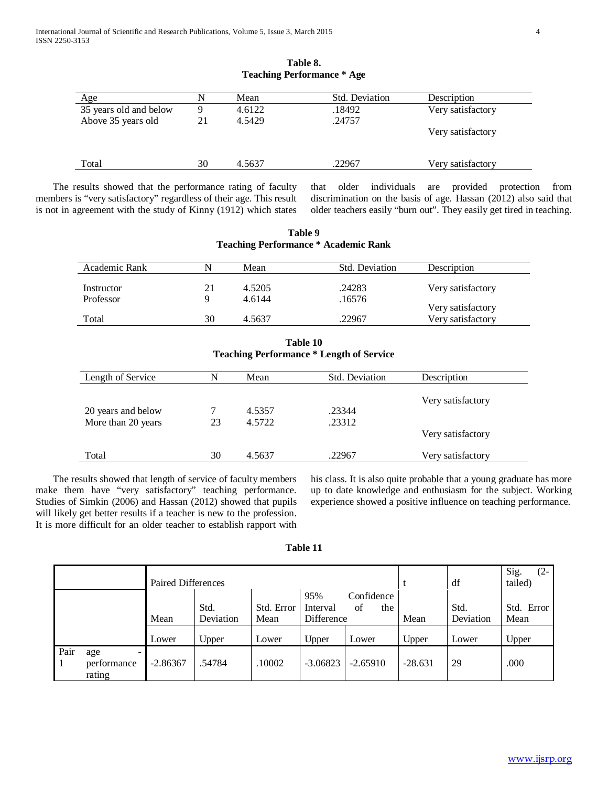| <u>Age</u>             | N  | Mean   | <b>Std. Deviation</b> | Description       |
|------------------------|----|--------|-----------------------|-------------------|
| 35 years old and below | 9  | 4.6122 | .18492                | Very satisfactory |
| Above 35 years old     | 21 | 4.5429 | .24757                |                   |
|                        |    |        |                       | Very satisfactory |
|                        |    |        |                       |                   |
| Total                  | 30 | 4.5637 | .22967                | Very satisfactory |

| Table 8.                          |  |
|-----------------------------------|--|
| <b>Teaching Performance * Age</b> |  |

 The results showed that the performance rating of faculty members is "very satisfactory" regardless of their age. This result is not in agreement with the study of Kinny (1912) which states

that older individuals are provided protection from discrimination on the basis of age. Hassan (2012) also said that older teachers easily "burn out". They easily get tired in teaching.

| Academic Rank      | N  | Mean   | Std. Deviation                                  | Description       |
|--------------------|----|--------|-------------------------------------------------|-------------------|
|                    |    |        |                                                 |                   |
| Instructor         | 21 | 4.5205 | .24283                                          | Very satisfactory |
| Professor          | 9  | 4.6144 | .16576                                          |                   |
|                    |    |        |                                                 | Very satisfactory |
| Total              | 30 | 4.5637 | .22967                                          | Very satisfactory |
|                    |    |        | <b>Teaching Performance * Length of Service</b> |                   |
| Length of Service  | N  | Mean   | Std. Deviation                                  | Description       |
|                    |    |        |                                                 |                   |
|                    |    |        |                                                 | Very satisfactory |
| 20 years and below | 7  | 4.5357 | .23344                                          |                   |
| More than 20 years | 23 | 4.5722 | .23312                                          |                   |
|                    |    |        |                                                 |                   |

**Table 9 Teaching Performance \* Academic Rank**

 The results showed that length of service of faculty members make them have "very satisfactory" teaching performance. Studies of Simkin (2006) and Hassan (2012) showed that pupils will likely get better results if a teacher is new to the profession. It is more difficult for an older teacher to establish rapport with his class. It is also quite probable that a young graduate has more up to date knowledge and enthusiasm for the subject. Working experience showed a positive influence on teaching performance.

Very satisfactory

| .`able |  |
|--------|--|
|        |  |

Total 30 4.5637 .22967 Very satisfactory

|      |                                                              | Paired Differences |                            |                             |                                        |                                  |               | df                         | Sig.<br>$(2-$<br>tailed)    |
|------|--------------------------------------------------------------|--------------------|----------------------------|-----------------------------|----------------------------------------|----------------------------------|---------------|----------------------------|-----------------------------|
|      |                                                              | Mean<br>Lower      | Std.<br>Deviation<br>Upper | Std. Error<br>Mean<br>Lower | 95%<br>Interval<br>Difference<br>Upper | Confidence<br>of<br>the<br>Lower | Mean<br>Upper | Std.<br>Deviation<br>Lower | Std. Error<br>Mean<br>Upper |
| Pair | age<br>$\qquad \qquad \blacksquare$<br>performance<br>rating | $-2.86367$         | .54784                     | .10002                      | $-3.06823$                             | $-2.65910$                       | $-28.631$     | 29                         | .000                        |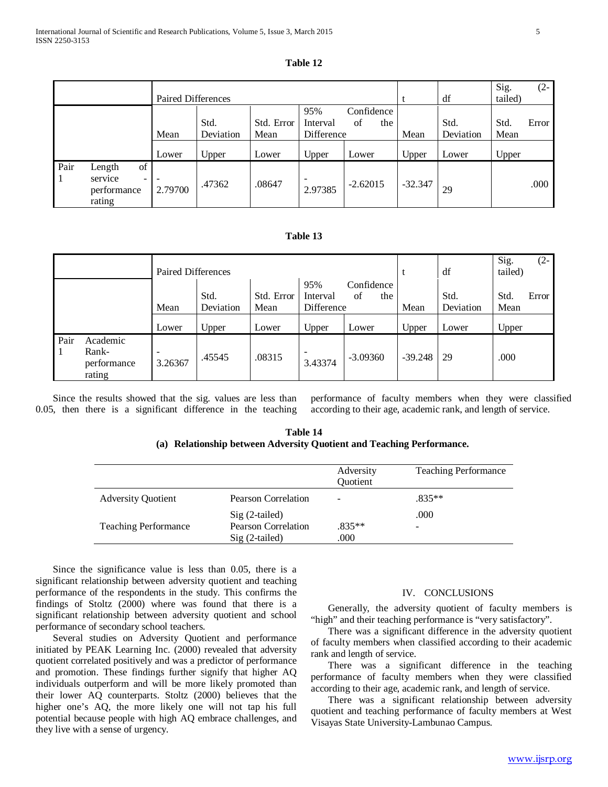| l'able |  |
|--------|--|
|--------|--|

|      |                                                                              | <b>Paired Differences</b>           |                            |                             |                                        |                                  |               | df                         | Sig.<br>tailed)       | $(2 -$ |
|------|------------------------------------------------------------------------------|-------------------------------------|----------------------------|-----------------------------|----------------------------------------|----------------------------------|---------------|----------------------------|-----------------------|--------|
|      |                                                                              | Mean<br>Lower                       | Std.<br>Deviation<br>Upper | Std. Error<br>Mean<br>Lower | 95%<br>Interval<br>Difference<br>Upper | Confidence<br>of<br>the<br>Lower | Mean<br>Upper | Std.<br>Deviation<br>Lower | Std.<br>Mean<br>Upper | Error  |
| Pair | of<br>Length<br>service<br>$\overline{\phantom{a}}$<br>performance<br>rating | $\overline{\phantom{a}}$<br>2.79700 | .47362                     | .08647                      | $\overline{\phantom{0}}$<br>2.97385    | $-2.62015$                       | $-32.347$     | 29                         |                       | .000   |

# **Table 13**

|            |                                            | <b>Paired Differences</b>           |                            |                             |                                        |                                  |               | df                         | Sig.<br>$(2 -$<br>tailed)      |
|------------|--------------------------------------------|-------------------------------------|----------------------------|-----------------------------|----------------------------------------|----------------------------------|---------------|----------------------------|--------------------------------|
|            |                                            | Mean<br>Lower                       | Std.<br>Deviation<br>Upper | Std. Error<br>Mean<br>Lower | 95%<br>Interval<br>Difference<br>Upper | Confidence<br>of<br>the<br>Lower | Mean<br>Upper | Std.<br>Deviation<br>Lower | Std.<br>Error<br>Mean<br>Upper |
| Pair<br>-1 | Academic<br>Rank-<br>performance<br>rating | $\overline{\phantom{a}}$<br>3.26367 | .45545                     | .08315                      | $\overline{\phantom{a}}$<br>3.43374    | $-3.09360$                       | $-39.248$     | 29                         | .000                           |

 Since the results showed that the sig. values are less than 0.05, then there is a significant difference in the teaching performance of faculty members when they were classified according to their age, academic rank, and length of service.

| Table 14                                                              |
|-----------------------------------------------------------------------|
| (a) Relationship between Adversity Quotient and Teaching Performance. |

|                             |                            | Adversity<br>Quotient | <b>Teaching Performance</b> |
|-----------------------------|----------------------------|-----------------------|-----------------------------|
| <b>Adversity Quotient</b>   | <b>Pearson Correlation</b> | -                     | $.835**$                    |
|                             | $Sig(2-tailed)$            |                       | .000                        |
| <b>Teaching Performance</b> | Pearson Correlation        | $.835**$              | -                           |
|                             | $\text{Sig}$ (2-tailed)    | .000                  |                             |

 Since the significance value is less than 0.05, there is a significant relationship between adversity quotient and teaching performance of the respondents in the study. This confirms the findings of Stoltz (2000) where was found that there is a significant relationship between adversity quotient and school performance of secondary school teachers.

 Several studies on Adversity Quotient and performance initiated by PEAK Learning Inc. (2000) revealed that adversity quotient correlated positively and was a predictor of performance and promotion. These findings further signify that higher AQ individuals outperform and will be more likely promoted than their lower AQ counterparts. Stoltz (2000) believes that the higher one's AQ, the more likely one will not tap his full potential because people with high AQ embrace challenges, and they live with a sense of urgency.

#### IV. CONCLUSIONS

 Generally, the adversity quotient of faculty members is "high" and their teaching performance is "very satisfactory".

 There was a significant difference in the adversity quotient of faculty members when classified according to their academic rank and length of service.

 There was a significant difference in the teaching performance of faculty members when they were classified according to their age, academic rank, and length of service.

 There was a significant relationship between adversity quotient and teaching performance of faculty members at West Visayas State University-Lambunao Campus.